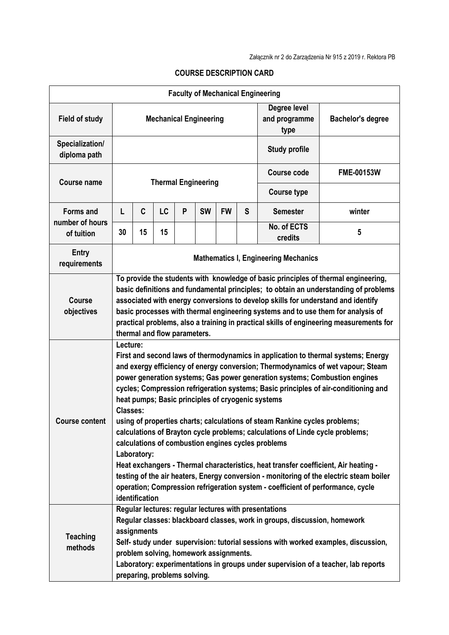| <b>Faculty of Mechanical Engineering</b> |                                                                                                                                                                                                                                                                                                                                                                                                                                                                                                                                                                                                                                                                                                                                                                                                                                                                                                                                                          |    |    |   |                            |           |                                       |                          |        |
|------------------------------------------|----------------------------------------------------------------------------------------------------------------------------------------------------------------------------------------------------------------------------------------------------------------------------------------------------------------------------------------------------------------------------------------------------------------------------------------------------------------------------------------------------------------------------------------------------------------------------------------------------------------------------------------------------------------------------------------------------------------------------------------------------------------------------------------------------------------------------------------------------------------------------------------------------------------------------------------------------------|----|----|---|----------------------------|-----------|---------------------------------------|--------------------------|--------|
| <b>Field of study</b>                    | <b>Mechanical Engineering</b>                                                                                                                                                                                                                                                                                                                                                                                                                                                                                                                                                                                                                                                                                                                                                                                                                                                                                                                            |    |    |   |                            |           | Degree level<br>and programme<br>type | <b>Bachelor's degree</b> |        |
| Specialization/<br>diploma path          | <b>Study profile</b>                                                                                                                                                                                                                                                                                                                                                                                                                                                                                                                                                                                                                                                                                                                                                                                                                                                                                                                                     |    |    |   |                            |           |                                       |                          |        |
| <b>Course name</b>                       |                                                                                                                                                                                                                                                                                                                                                                                                                                                                                                                                                                                                                                                                                                                                                                                                                                                                                                                                                          |    |    |   | <b>Thermal Engineering</b> |           | <b>Course code</b>                    | <b>FME-00153W</b>        |        |
|                                          |                                                                                                                                                                                                                                                                                                                                                                                                                                                                                                                                                                                                                                                                                                                                                                                                                                                                                                                                                          |    |    |   |                            |           |                                       | <b>Course type</b>       |        |
| <b>Forms and</b>                         | L                                                                                                                                                                                                                                                                                                                                                                                                                                                                                                                                                                                                                                                                                                                                                                                                                                                                                                                                                        | C  | LC | P | <b>SW</b>                  | <b>FW</b> | S                                     | <b>Semester</b>          | winter |
| number of hours<br>of tuition            | 30                                                                                                                                                                                                                                                                                                                                                                                                                                                                                                                                                                                                                                                                                                                                                                                                                                                                                                                                                       | 15 | 15 |   |                            |           |                                       | No. of ECTS<br>credits   | 5      |
| <b>Entry</b><br>requirements             | <b>Mathematics I, Engineering Mechanics</b>                                                                                                                                                                                                                                                                                                                                                                                                                                                                                                                                                                                                                                                                                                                                                                                                                                                                                                              |    |    |   |                            |           |                                       |                          |        |
| <b>Course</b><br>objectives              | To provide the students with knowledge of basic principles of thermal engineering,<br>basic definitions and fundamental principles; to obtain an understanding of problems<br>associated with energy conversions to develop skills for understand and identify<br>basic processes with thermal engineering systems and to use them for analysis of<br>practical problems, also a training in practical skills of engineering measurements for<br>thermal and flow parameters.                                                                                                                                                                                                                                                                                                                                                                                                                                                                            |    |    |   |                            |           |                                       |                          |        |
| <b>Course content</b>                    | Lecture:<br>First and second laws of thermodynamics in application to thermal systems; Energy<br>and exergy efficiency of energy conversion; Thermodynamics of wet vapour; Steam<br>power generation systems; Gas power generation systems; Combustion engines<br>cycles; Compression refrigeration systems; Basic principles of air-conditioning and<br>heat pumps; Basic principles of cryogenic systems<br><b>Classes:</b><br>using of properties charts; calculations of steam Rankine cycles problems;<br>calculations of Brayton cycle problems; calculations of Linde cycle problems;<br>calculations of combustion engines cycles problems<br>Laboratory:<br>Heat exchangers - Thermal characteristics, heat transfer coefficient, Air heating -<br>testing of the air heaters, Energy conversion - monitoring of the electric steam boiler<br>operation; Compression refrigeration system - coefficient of performance, cycle<br>identification |    |    |   |                            |           |                                       |                          |        |
| <b>Teaching</b><br>methods               | Regular lectures: regular lectures with presentations<br>Regular classes: blackboard classes, work in groups, discussion, homework<br>assignments<br>Self- study under supervision: tutorial sessions with worked examples, discussion,<br>problem solving, homework assignments.<br>Laboratory: experimentations in groups under supervision of a teacher, lab reports<br>preparing, problems solving.                                                                                                                                                                                                                                                                                                                                                                                                                                                                                                                                                  |    |    |   |                            |           |                                       |                          |        |

## **COURSE DESCRIPTION CARD**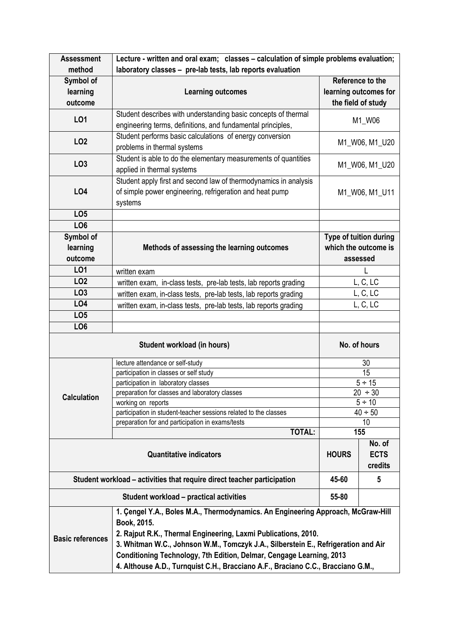| <b>Assessment</b>                                                                                                                                                                                                                                                                  | Lecture - written and oral exam; classes - calculation of simple problems evaluation;                                                                    |                                                            |                  |  |  |  |  |
|------------------------------------------------------------------------------------------------------------------------------------------------------------------------------------------------------------------------------------------------------------------------------------|----------------------------------------------------------------------------------------------------------------------------------------------------------|------------------------------------------------------------|------------------|--|--|--|--|
| method                                                                                                                                                                                                                                                                             | laboratory classes - pre-lab tests, lab reports evaluation                                                                                               |                                                            |                  |  |  |  |  |
| Symbol of                                                                                                                                                                                                                                                                          |                                                                                                                                                          |                                                            | Reference to the |  |  |  |  |
| learning                                                                                                                                                                                                                                                                           | <b>Learning outcomes</b>                                                                                                                                 | learning outcomes for                                      |                  |  |  |  |  |
| outcome                                                                                                                                                                                                                                                                            |                                                                                                                                                          | the field of study                                         |                  |  |  |  |  |
| L01                                                                                                                                                                                                                                                                                | Student describes with understanding basic concepts of thermal                                                                                           |                                                            | M1_W06           |  |  |  |  |
|                                                                                                                                                                                                                                                                                    | engineering terms, definitions, and fundamental principles,                                                                                              |                                                            |                  |  |  |  |  |
| <b>LO2</b>                                                                                                                                                                                                                                                                         | Student performs basic calculations of energy conversion<br>problems in thermal systems                                                                  | M1_W06, M1_U20                                             |                  |  |  |  |  |
| LO <sub>3</sub>                                                                                                                                                                                                                                                                    | Student is able to do the elementary measurements of quantities<br>applied in thermal systems                                                            | M1_W06, M1_U20                                             |                  |  |  |  |  |
| <b>LO4</b>                                                                                                                                                                                                                                                                         | Student apply first and second law of thermodynamics in analysis<br>of simple power engineering, refrigeration and heat pump<br>systems                  | M1_W06, M1_U11                                             |                  |  |  |  |  |
| LO <sub>5</sub>                                                                                                                                                                                                                                                                    |                                                                                                                                                          |                                                            |                  |  |  |  |  |
| LO <sub>6</sub>                                                                                                                                                                                                                                                                    |                                                                                                                                                          |                                                            |                  |  |  |  |  |
| Symbol of<br>learning<br>outcome                                                                                                                                                                                                                                                   | Methods of assessing the learning outcomes                                                                                                               | Type of tuition during<br>which the outcome is<br>assessed |                  |  |  |  |  |
| LO1                                                                                                                                                                                                                                                                                | written exam                                                                                                                                             |                                                            |                  |  |  |  |  |
| LO <sub>2</sub>                                                                                                                                                                                                                                                                    | written exam, in-class tests, pre-lab tests, lab reports grading                                                                                         | L, C, LC                                                   |                  |  |  |  |  |
| LO <sub>3</sub>                                                                                                                                                                                                                                                                    | written exam, in-class tests, pre-lab tests, lab reports grading                                                                                         | L, C, LC                                                   |                  |  |  |  |  |
| LO4                                                                                                                                                                                                                                                                                |                                                                                                                                                          |                                                            |                  |  |  |  |  |
| LO <sub>5</sub>                                                                                                                                                                                                                                                                    | L, C, LC<br>written exam, in-class tests, pre-lab tests, lab reports grading                                                                             |                                                            |                  |  |  |  |  |
| LO <sub>6</sub>                                                                                                                                                                                                                                                                    |                                                                                                                                                          |                                                            |                  |  |  |  |  |
| <b>Student workload (in hours)</b>                                                                                                                                                                                                                                                 |                                                                                                                                                          | No. of hours                                               |                  |  |  |  |  |
|                                                                                                                                                                                                                                                                                    | lecture attendance or self-study                                                                                                                         | 30                                                         |                  |  |  |  |  |
|                                                                                                                                                                                                                                                                                    | participation in classes or self study                                                                                                                   | 15                                                         |                  |  |  |  |  |
|                                                                                                                                                                                                                                                                                    | participation in laboratory classes                                                                                                                      | $5 \div 15$                                                |                  |  |  |  |  |
| <b>Calculation</b>                                                                                                                                                                                                                                                                 | preparation for classes and laboratory classes                                                                                                           | $20 \div 30$                                               |                  |  |  |  |  |
|                                                                                                                                                                                                                                                                                    | working on reports                                                                                                                                       | $5 \div 10$<br>$40 \div 50$                                |                  |  |  |  |  |
|                                                                                                                                                                                                                                                                                    | participation in student-teacher sessions related to the classes<br>preparation for and participation in exams/tests                                     | 10                                                         |                  |  |  |  |  |
|                                                                                                                                                                                                                                                                                    | <b>TOTAL:</b>                                                                                                                                            | 155                                                        |                  |  |  |  |  |
|                                                                                                                                                                                                                                                                                    | <b>HOURS</b>                                                                                                                                             | No. of<br><b>ECTS</b><br>credits                           |                  |  |  |  |  |
|                                                                                                                                                                                                                                                                                    | Student workload – activities that require direct teacher participation                                                                                  | 45-60                                                      | 5                |  |  |  |  |
|                                                                                                                                                                                                                                                                                    | 55-80                                                                                                                                                    |                                                            |                  |  |  |  |  |
| 1. Çengel Y.A., Boles M.A., Thermodynamics. An Engineering Approach, McGraw-Hill<br>Book, 2015.<br>2. Rajput R.K., Thermal Engineering, Laxmi Publications, 2010.<br><b>Basic references</b><br>3. Whitman W.C., Johnson W.M., Tomczyk J.A., Silberstein E., Refrigeration and Air |                                                                                                                                                          |                                                            |                  |  |  |  |  |
|                                                                                                                                                                                                                                                                                    | Conditioning Technology, 7th Edition, Delmar, Cengage Learning, 2013<br>4. Althouse A.D., Turnquist C.H., Bracciano A.F., Braciano C.C., Bracciano G.M., |                                                            |                  |  |  |  |  |